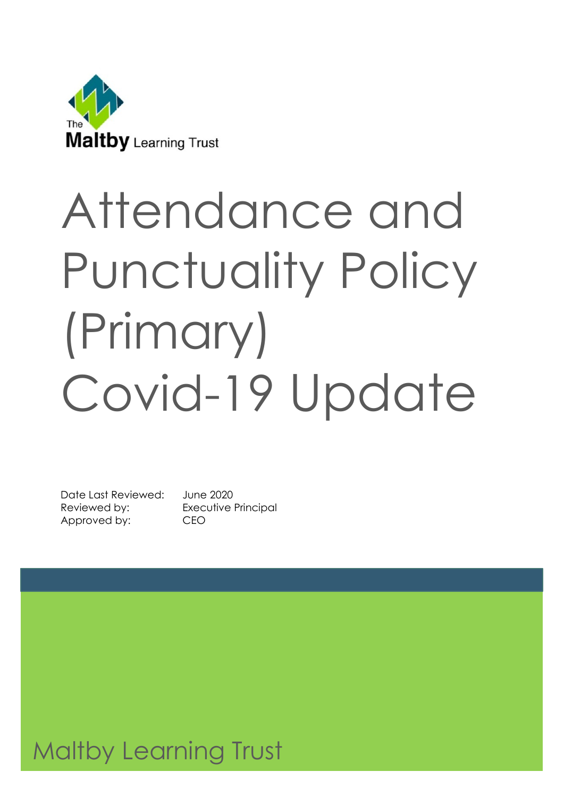

# Attendance and Punctuality Policy (Primary) Covid-19 Update

Date Last Reviewed: June 2020 Reviewed by: Executive Principal Approved by: CEO

# Maltby Learning Trust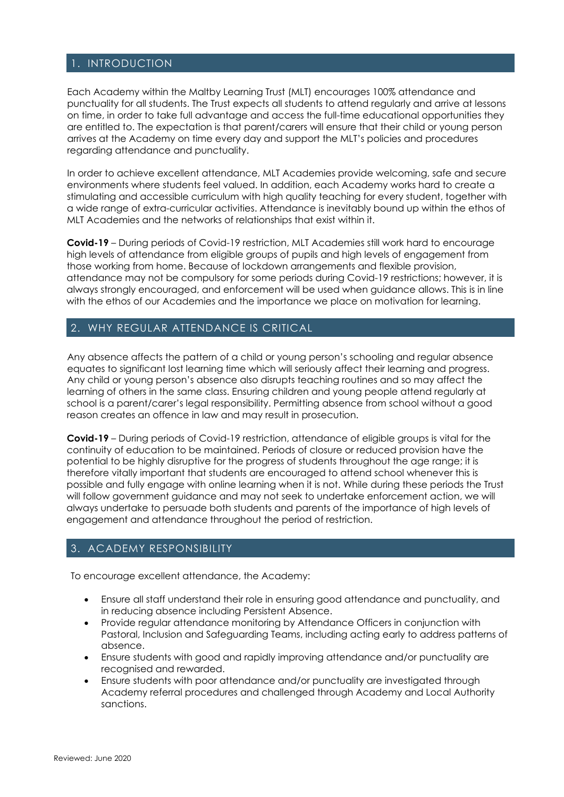#### 1. INTRODUCTION

Each Academy within the Maltby Learning Trust (MLT) encourages 100% attendance and punctuality for all students. The Trust expects all students to attend regularly and arrive at lessons on time, in order to take full advantage and access the full-time educational opportunities they are entitled to. The expectation is that parent/carers will ensure that their child or young person arrives at the Academy on time every day and support the MLT's policies and procedures regarding attendance and punctuality.

In order to achieve excellent attendance, MLT Academies provide welcoming, safe and secure environments where students feel valued. In addition, each Academy works hard to create a stimulating and accessible curriculum with high quality teaching for every student, together with a wide range of extra-curricular activities. Attendance is inevitably bound up within the ethos of MLT Academies and the networks of relationships that exist within it.

**Covid-19** – During periods of Covid-19 restriction, MLT Academies still work hard to encourage high levels of attendance from eligible groups of pupils and high levels of engagement from those working from home. Because of lockdown arrangements and flexible provision, attendance may not be compulsory for some periods during Covid-19 restrictions; however, it is always strongly encouraged, and enforcement will be used when guidance allows. This is in line with the ethos of our Academies and the importance we place on motivation for learning.

#### 2. WHY REGULAR ATTENDANCE IS CRITICAL

Any absence affects the pattern of a child or young person's schooling and regular absence equates to significant lost learning time which will seriously affect their learning and progress. Any child or young person's absence also disrupts teaching routines and so may affect the learning of others in the same class. Ensuring children and young people attend regularly at school is a parent/carer's legal responsibility. Permitting absence from school without a good reason creates an offence in law and may result in prosecution.

**Covid-19** – During periods of Covid-19 restriction, attendance of eligible groups is vital for the continuity of education to be maintained. Periods of closure or reduced provision have the potential to be highly disruptive for the progress of students throughout the age range; it is therefore vitally important that students are encouraged to attend school whenever this is possible and fully engage with online learning when it is not. While during these periods the Trust will follow government guidance and may not seek to undertake enforcement action, we will always undertake to persuade both students and parents of the importance of high levels of engagement and attendance throughout the period of restriction.

#### 3. ACADEMY RESPONSIBILITY

To encourage excellent attendance, the Academy:

- Ensure all staff understand their role in ensuring good attendance and punctuality, and in reducing absence including Persistent Absence.
- Provide regular attendance monitoring by Attendance Officers in conjunction with Pastoral, Inclusion and Safeguarding Teams, including acting early to address patterns of absence.
- Ensure students with good and rapidly improving attendance and/or punctuality are recognised and rewarded.
- Ensure students with poor attendance and/or punctuality are investigated through Academy referral procedures and challenged through Academy and Local Authority sanctions.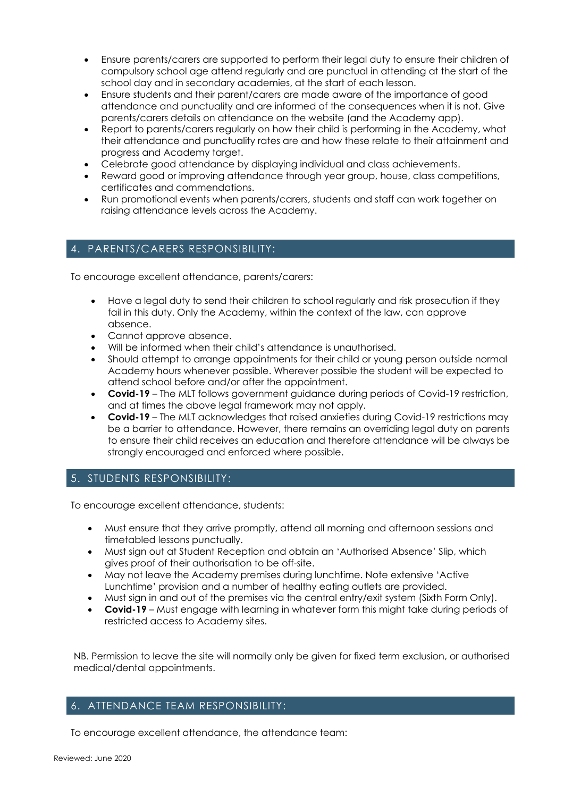- Ensure parents/carers are supported to perform their legal duty to ensure their children of compulsory school age attend regularly and are punctual in attending at the start of the school day and in secondary academies, at the start of each lesson.
- Ensure students and their parent/carers are made aware of the importance of good attendance and punctuality and are informed of the consequences when it is not. Give parents/carers details on attendance on the website (and the Academy app).
- Report to parents/carers regularly on how their child is performing in the Academy, what their attendance and punctuality rates are and how these relate to their attainment and progress and Academy target.
- Celebrate good attendance by displaying individual and class achievements.
- Reward good or improving attendance through year group, house, class competitions, certificates and commendations.
- Run promotional events when parents/carers, students and staff can work together on raising attendance levels across the Academy.

#### 4. PARENTS/CARERS RESPONSIBILITY:

To encourage excellent attendance, parents/carers:

- Have a legal duty to send their children to school regularly and risk prosecution if they fail in this duty. Only the Academy, within the context of the law, can approve absence.
- Cannot approve absence.
- Will be informed when their child's attendance is unauthorised.
- Should attempt to arrange appointments for their child or young person outside normal Academy hours whenever possible. Wherever possible the student will be expected to attend school before and/or after the appointment.
- **Covid-19** The MLT follows government guidance during periods of Covid-19 restriction, and at times the above legal framework may not apply.
- **Covid-19** The MLT acknowledges that raised anxieties during Covid-19 restrictions may be a barrier to attendance. However, there remains an overriding legal duty on parents to ensure their child receives an education and therefore attendance will be always be strongly encouraged and enforced where possible.

#### 5. STUDENTS RESPONSIBILITY:

To encourage excellent attendance, students:

- Must ensure that they arrive promptly, attend all morning and afternoon sessions and timetabled lessons punctually.
- Must sign out at Student Reception and obtain an 'Authorised Absence' Slip, which gives proof of their authorisation to be off-site.
- May not leave the Academy premises during lunchtime. Note extensive 'Active Lunchtime' provision and a number of healthy eating outlets are provided.
- Must sign in and out of the premises via the central entry/exit system (Sixth Form Only).
- **Covid-19** Must engage with learning in whatever form this might take during periods of restricted access to Academy sites.

NB. Permission to leave the site will normally only be given for fixed term exclusion, or authorised medical/dental appointments.

#### 6. ATTENDANCE TEAM RESPONSIBILITY:

To encourage excellent attendance, the attendance team: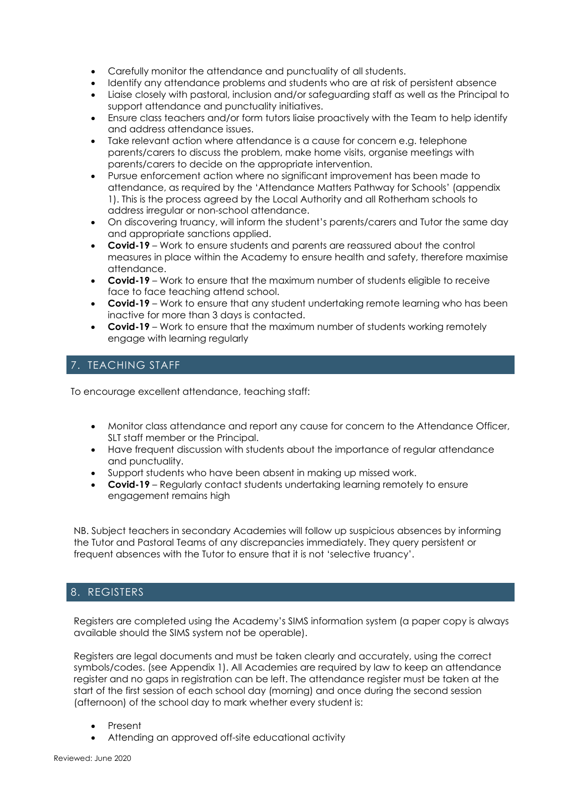- Carefully monitor the attendance and punctuality of all students.
- Identify any attendance problems and students who are at risk of persistent absence
- Liaise closely with pastoral, inclusion and/or safeguarding staff as well as the Principal to support attendance and punctuality initiatives.
- Ensure class teachers and/or form tutors liaise proactively with the Team to help identify and address attendance issues.
- Take relevant action where attendance is a cause for concern e.g. telephone parents/carers to discuss the problem, make home visits, organise meetings with parents/carers to decide on the appropriate intervention.
- Pursue enforcement action where no significant improvement has been made to attendance, as required by the 'Attendance Matters Pathway for Schools' (appendix 1). This is the process agreed by the Local Authority and all Rotherham schools to address irregular or non-school attendance.
- On discovering truancy, will inform the student's parents/carers and Tutor the same day and appropriate sanctions applied.
- **Covid-19** Work to ensure students and parents are reassured about the control measures in place within the Academy to ensure health and safety, therefore maximise attendance.
- **Covid-19** Work to ensure that the maximum number of students eligible to receive face to face teaching attend school.
- **Covid-19** Work to ensure that any student undertaking remote learning who has been inactive for more than 3 days is contacted.
- **Covid-19** Work to ensure that the maximum number of students working remotely engage with learning regularly

#### 7. TEACHING STAFF

To encourage excellent attendance, teaching staff:

- Monitor class attendance and report any cause for concern to the Attendance Officer, SLT staff member or the Principal.
- Have frequent discussion with students about the importance of regular attendance and punctuality.
- Support students who have been absent in making up missed work.
- **Covid-19** Regularly contact students undertaking learning remotely to ensure engagement remains high

NB. Subject teachers in secondary Academies will follow up suspicious absences by informing the Tutor and Pastoral Teams of any discrepancies immediately. They query persistent or frequent absences with the Tutor to ensure that it is not 'selective truancy'.

#### 8. REGISTERS

Registers are completed using the Academy's SIMS information system (a paper copy is always available should the SIMS system not be operable).

Registers are legal documents and must be taken clearly and accurately, using the correct symbols/codes. (see Appendix 1). All Academies are required by law to keep an attendance register and no gaps in registration can be left. The attendance register must be taken at the start of the first session of each school day (morning) and once during the second session (afternoon) of the school day to mark whether every student is:

- Present
- Attending an approved off-site educational activity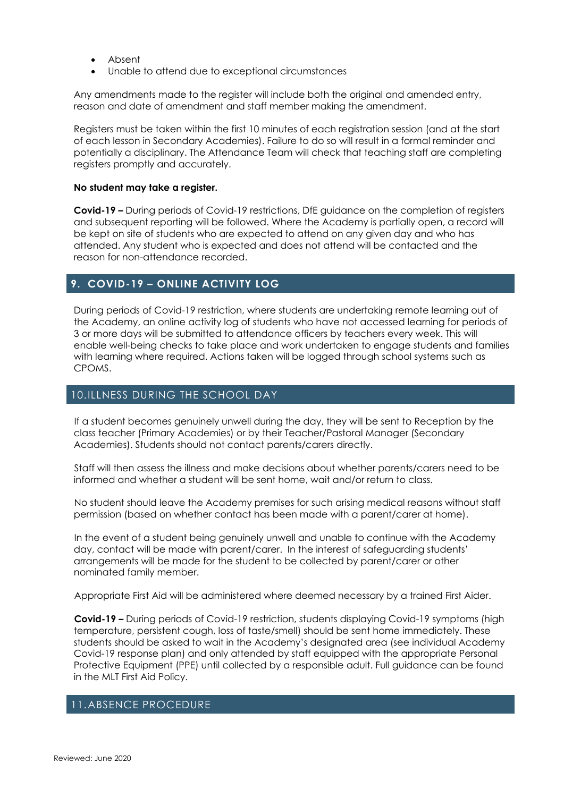- Absent
- Unable to attend due to exceptional circumstances

Any amendments made to the register will include both the original and amended entry, reason and date of amendment and staff member making the amendment.

Registers must be taken within the first 10 minutes of each registration session (and at the start of each lesson in Secondary Academies). Failure to do so will result in a formal reminder and potentially a disciplinary. The Attendance Team will check that teaching staff are completing registers promptly and accurately.

#### **No student may take a register.**

**Covid-19 –** During periods of Covid-19 restrictions, DfE guidance on the completion of registers and subsequent reporting will be followed. Where the Academy is partially open, a record will be kept on site of students who are expected to attend on any given day and who has attended. Any student who is expected and does not attend will be contacted and the reason for non-attendance recorded.

#### **9. COVID-19 – ONLINE ACTIVITY LOG**

During periods of Covid-19 restriction, where students are undertaking remote learning out of the Academy, an online activity log of students who have not accessed learning for periods of 3 or more days will be submitted to attendance officers by teachers every week. This will enable well-being checks to take place and work undertaken to engage students and families with learning where required. Actions taken will be logged through school systems such as CPOMS.

#### 10.ILLNESS DURING THE SCHOOL DAY

If a student becomes genuinely unwell during the day, they will be sent to Reception by the class teacher (Primary Academies) or by their Teacher/Pastoral Manager (Secondary Academies). Students should not contact parents/carers directly.

Staff will then assess the illness and make decisions about whether parents/carers need to be informed and whether a student will be sent home, wait and/or return to class.

No student should leave the Academy premises for such arising medical reasons without staff permission (based on whether contact has been made with a parent/carer at home).

In the event of a student being genuinely unwell and unable to continue with the Academy day, contact will be made with parent/carer. In the interest of safeguarding students' arrangements will be made for the student to be collected by parent/carer or other nominated family member.

Appropriate First Aid will be administered where deemed necessary by a trained First Aider.

**Covid-19 –** During periods of Covid-19 restriction, students displaying Covid-19 symptoms (high temperature, persistent cough, loss of taste/smell) should be sent home immediately. These students should be asked to wait in the Academy's designated area (see individual Academy Covid-19 response plan) and only attended by staff equipped with the appropriate Personal Protective Equipment (PPE) until collected by a responsible adult. Full guidance can be found in the MLT First Aid Policy.

#### 11.ABSENCE PROCEDURE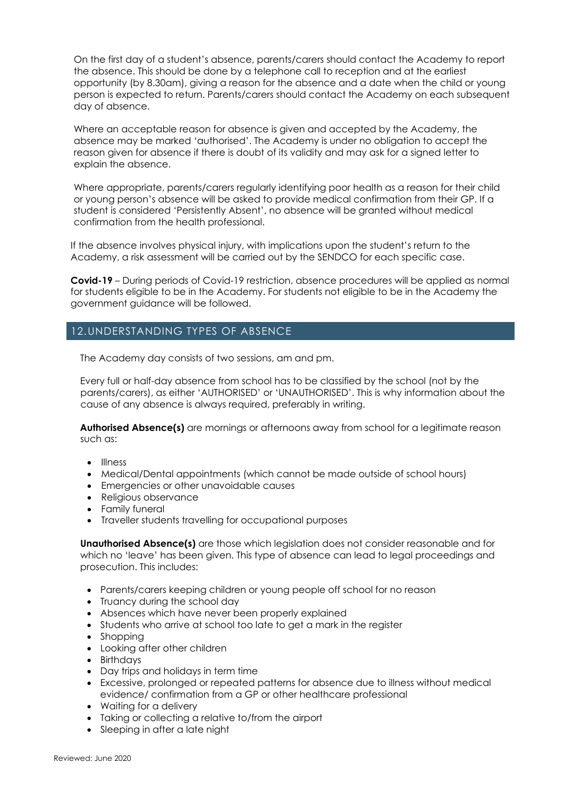On the first day of a student's absence, parents/carers should contact the Academy to report the absence. This should be done by a telephone call to reception and at the earliest opportunity (by 8.30am), giving a reason for the absence and a date when the child or young person is expected to return. Parents/carers should contact the Academy on each subsequent day of absence.

Where an acceptable reason for absence is given and accepted by the Academy, the absence may be marked 'authorised'. The Academy is under no obligation to accept the reason given for absence if there is doubt of its validity and may ask for a signed letter to explain the absence.

Where appropriate, parents/carers regularly identifying poor health as a reason for their child or young person's absence will be asked to provide medical confirmation from their GP. If a student is considered 'Persistently Absent', no absence will be granted without medical confirmation from the health professional.

If the absence involves physical injury, with implications upon the student's return to the Academy, a risk assessment will be carried out by the SENDCO for each specific case.

**Covid-19** – During periods of Covid-19 restriction, absence procedures will be applied as normal for students eligible to be in the Academy. For students not eligible to be in the Academy the government guidance will be followed.

#### 12.UNDERSTANDING TYPES OF ABSENCE

The Academy day consists of two sessions, am and pm.

Every full or half-day absence from school has to be classified by the school (not by the parents/carers), as either 'AUTHORISED' or 'UNAUTHORISED'. This is why information about the cause of any absence is always required, preferably in writing.

**Authorised Absence(s)** are mornings or afternoons away from school for a legitimate reason such as:

- Illness
- Medical/Dental appointments (which cannot be made outside of school hours)
- Emergencies or other unavoidable causes
- Religious observance
- Family funeral
- Traveller students travelling for occupational purposes

**Unauthorised Absence(s)** are those which legislation does not consider reasonable and for which no 'leave' has been given. This type of absence can lead to legal proceedings and prosecution. This includes:

- Parents/carers keeping children or young people off school for no reason
- Truancy during the school day
- Absences which have never been properly explained
- Students who arrive at school too late to get a mark in the reaister
- Shopping
- Looking after other children
- Birthdays
- Day trips and holidays in term time
- Excessive, prolonged or repeated patterns for absence due to illness without medical evidence/ confirmation from a GP or other healthcare professional
- Waiting for a delivery
- Taking or collecting a relative to/from the airport
- Sleeping in after a late night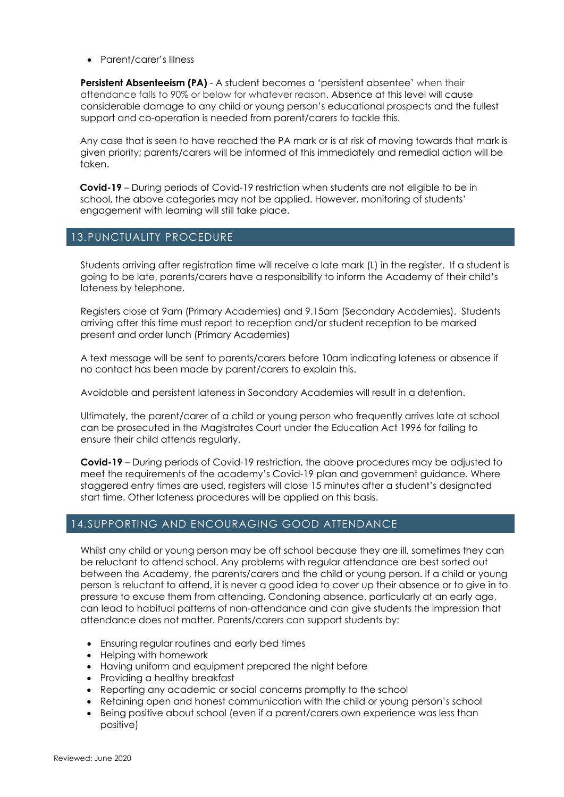• Parent/carer's Illness

**Persistent Absenteeism (PA)** - A student becomes a 'persistent absentee' when their attendance falls to 90% or below for whatever reason. Absence at this level will cause considerable damage to any child or young person's educational prospects and the fullest support and co-operation is needed from parent/carers to tackle this.

Any case that is seen to have reached the PA mark or is at risk of moving towards that mark is given priority; parents/carers will be informed of this immediately and remedial action will be taken.

**Covid-19** – During periods of Covid-19 restriction when students are not eligible to be in school, the above categories may not be applied. However, monitoring of students' engagement with learning will still take place.

#### 13.PUNCTUALITY PROCEDURE

Students arriving after registration time will receive a late mark (L) in the register. If a student is going to be late, parents/carers have a responsibility to inform the Academy of their child's lateness by telephone.

Registers close at 9am (Primary Academies) and 9.15am (Secondary Academies). Students arriving after this time must report to reception and/or student reception to be marked present and order lunch (Primary Academies)

A text message will be sent to parents/carers before 10am indicating lateness or absence if no contact has been made by parent/carers to explain this.

Avoidable and persistent lateness in Secondary Academies will result in a detention.

Ultimately, the parent/carer of a child or young person who frequently arrives late at school can be prosecuted in the Magistrates Court under the Education Act 1996 for failing to ensure their child attends regularly.

**Covid-19** – During periods of Covid-19 restriction, the above procedures may be adjusted to meet the requirements of the academy's Covid-19 plan and government guidance. Where staggered entry times are used, registers will close 15 minutes after a student's designated start time. Other lateness procedures will be applied on this basis.

#### 14.SUPPORTING AND ENCOURAGING GOOD ATTENDANCE

Whilst any child or young person may be off school because they are ill, sometimes they can be reluctant to attend school. Any problems with regular attendance are best sorted out between the Academy, the parents/carers and the child or young person. If a child or young person is reluctant to attend, it is never a good idea to cover up their absence or to give in to pressure to excuse them from attending. Condoning absence, particularly at an early age, can lead to habitual patterns of non-attendance and can give students the impression that attendance does not matter. Parents/carers can support students by:

- Ensuring regular routines and early bed times
- Helping with homework
- Having uniform and equipment prepared the night before
- Providing a healthy breakfast
- Reporting any academic or social concerns promptly to the school
- Retaining open and honest communication with the child or young person's school
- Being positive about school (even if a parent/carers own experience was less than positive)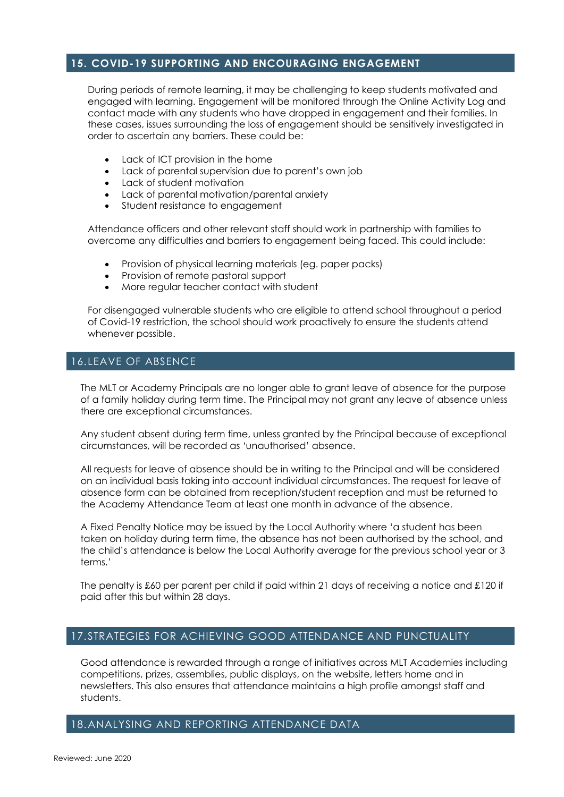#### **15. COVID-19 SUPPORTING AND ENCOURAGING ENGAGEMENT**

During periods of remote learning, it may be challenging to keep students motivated and engaged with learning. Engagement will be monitored through the Online Activity Log and contact made with any students who have dropped in engagement and their families. In these cases, issues surrounding the loss of engagement should be sensitively investigated in order to ascertain any barriers. These could be:

- Lack of ICT provision in the home
- Lack of parental supervision due to parent's own job
- Lack of student motivation
- Lack of parental motivation/parental anxiety
- Student resistance to engagement

Attendance officers and other relevant staff should work in partnership with families to overcome any difficulties and barriers to engagement being faced. This could include:

- Provision of physical learning materials (eg. paper packs)
- Provision of remote pastoral support
- More regular teacher contact with student

For disengaged vulnerable students who are eligible to attend school throughout a period of Covid-19 restriction, the school should work proactively to ensure the students attend whenever possible.

#### 16. LEAVE OF ABSENCE

The MLT or Academy Principals are no longer able to grant leave of absence for the purpose of a family holiday during term time. The Principal may not grant any leave of absence unless there are exceptional circumstances.

Any student absent during term time, unless granted by the Principal because of exceptional circumstances, will be recorded as 'unauthorised' absence.

All requests for leave of absence should be in writing to the Principal and will be considered on an individual basis taking into account individual circumstances. The request for leave of absence form can be obtained from reception/student reception and must be returned to the Academy Attendance Team at least one month in advance of the absence.

A Fixed Penalty Notice may be issued by the Local Authority where 'a student has been taken on holiday during term time, the absence has not been authorised by the school, and the child's attendance is below the Local Authority average for the previous school year or 3 terms.'

The penalty is £60 per parent per child if paid within 21 days of receiving a notice and £120 if paid after this but within 28 days.

#### 17.STRATEGIES FOR ACHIEVING GOOD ATTENDANCE AND PUNCTUALITY

Good attendance is rewarded through a range of initiatives across MLT Academies including competitions, prizes, assemblies, public displays, on the website, letters home and in newsletters. This also ensures that attendance maintains a high profile amongst staff and students.

#### 18.ANALYSING AND REPORTING ATTENDANCE DATA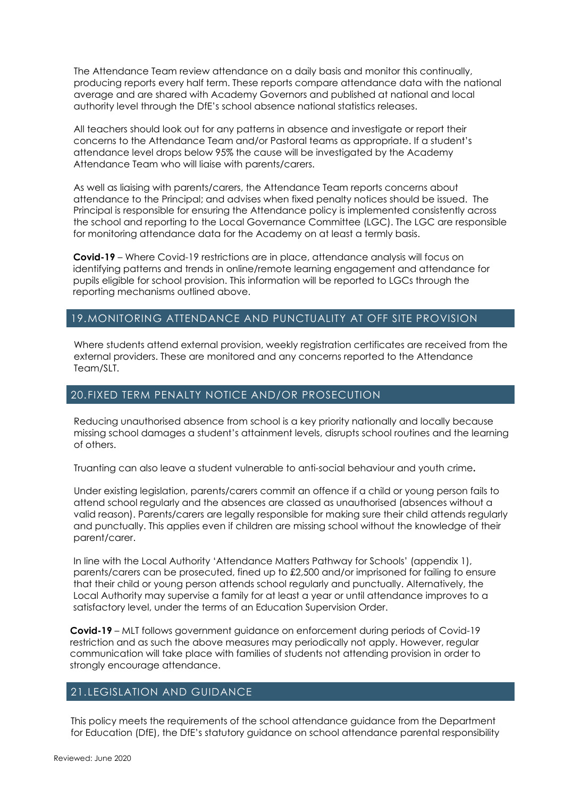The Attendance Team review attendance on a daily basis and monitor this continually, producing reports every half term. These reports compare attendance data with the national average and are shared with Academy Governors and published at national and local authority level through the DfE's school absence national statistics releases.

All teachers should look out for any patterns in absence and investigate or report their concerns to the Attendance Team and/or Pastoral teams as appropriate. If a student's attendance level drops below 95% the cause will be investigated by the Academy Attendance Team who will liaise with parents/carers.

As well as liaising with parents/carers, the Attendance Team reports concerns about attendance to the Principal; and advises when fixed penalty notices should be issued. The Principal is responsible for ensuring the Attendance policy is implemented consistently across the school and reporting to the Local Governance Committee (LGC). The LGC are responsible for monitoring attendance data for the Academy on at least a termly basis.

**Covid-19** – Where Covid-19 restrictions are in place, attendance analysis will focus on identifying patterns and trends in online/remote learning engagement and attendance for pupils eligible for school provision. This information will be reported to LGCs through the reporting mechanisms outlined above.

#### 19.MONITORING ATTENDANCE AND PUNCTUALITY AT OFF SITE PROVISION

Where students attend external provision, weekly registration certificates are received from the external providers. These are monitored and any concerns reported to the Attendance Team/SLT.

#### 20.FIXED TERM PENALTY NOTICE AND/OR PROSECUTION

Reducing unauthorised absence from school is a key priority nationally and locally because missing school damages a student's attainment levels, disrupts school routines and the learning of others.

Truanting can also leave a student vulnerable to anti-social behaviour and youth crime**.**

Under existing legislation, parents/carers commit an offence if a child or young person fails to attend school regularly and the absences are classed as unauthorised (absences without a valid reason). Parents/carers are legally responsible for making sure their child attends regularly and punctually. This applies even if children are missing school without the knowledge of their parent/carer.

In line with the Local Authority 'Attendance Matters Pathway for Schools' (appendix 1), parents/carers can be prosecuted, fined up to £2,500 and/or imprisoned for failing to ensure that their child or young person attends school regularly and punctually. Alternatively, the Local Authority may supervise a family for at least a year or until attendance improves to a satisfactory level, under the terms of an Education Supervision Order.

**Covid-19** – MLT follows government guidance on enforcement during periods of Covid-19 restriction and as such the above measures may periodically not apply. However, regular communication will take place with families of students not attending provision in order to strongly encourage attendance.

#### 21. LEGISLATION AND GUIDANCE

This policy meets the requirements of the school attendance guidance from the Department for Education (DfE), the DfE's statutory guidance on school attendance parental responsibility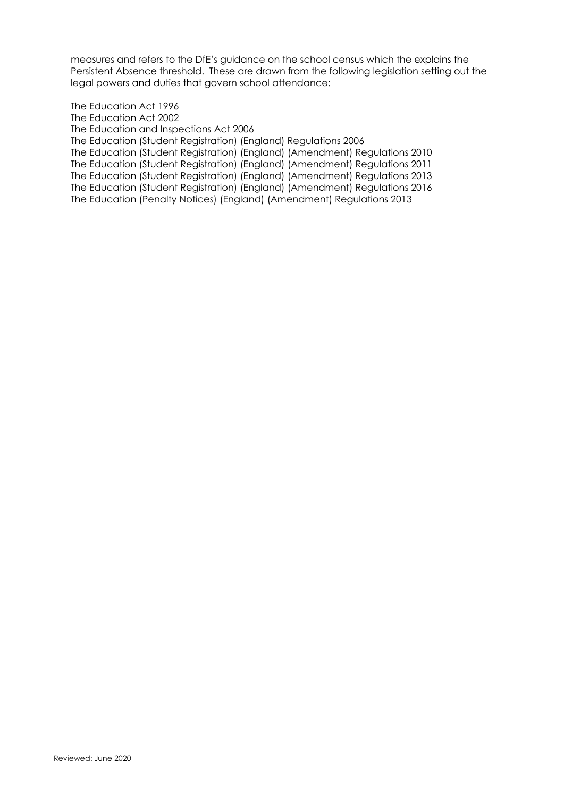measures and refers to the DfE's guidance on the school census which the explains the Persistent Absence threshold. These are drawn from the following legislation setting out the legal powers and duties that govern school attendance:

The Education Act 1996 The Education Act 2002 The Education and Inspections Act 2006 The Education (Student Registration) (England) Regulations 2006 The Education (Student Registration) (England) (Amendment) Regulations 2010 The Education (Student Registration) (England) (Amendment) Regulations 2011 The Education (Student Registration) (England) (Amendment) Regulations 2013 The Education (Student Registration) (England) (Amendment) Regulations 2016 The Education (Penalty Notices) (England) (Amendment) Regulations 2013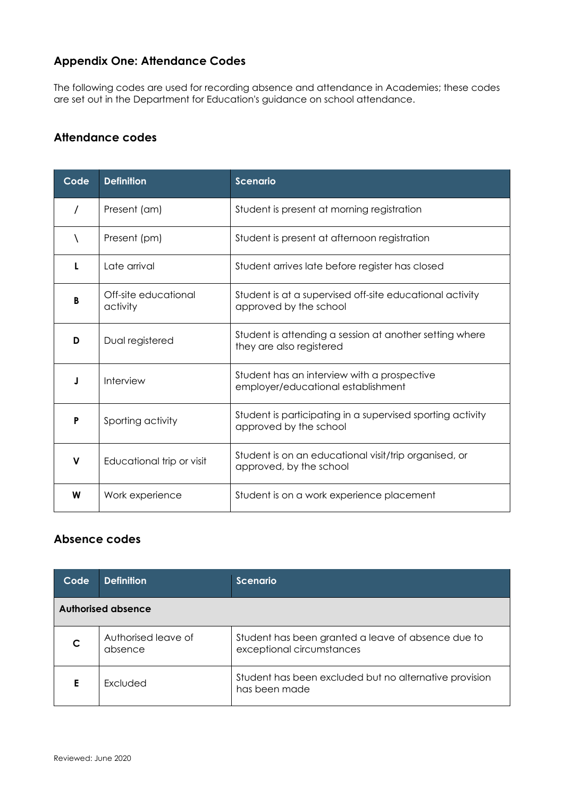### **Appendix One: Attendance Codes**

The following codes are used for recording absence and attendance in Academies; these codes are set out in the Department for Education's [guidance on school attendance.](https://www.gov.uk/government/uploads/system/uploads/attachment_data/file/361008/Advice_on_school_attendance_sept_2014.pdf)

#### **Attendance codes**

| Code     | <b>Definition</b>                | <b>Scenario</b>                                                                      |
|----------|----------------------------------|--------------------------------------------------------------------------------------|
| $\prime$ | Present (am)                     | Student is present at morning registration                                           |
|          | Present (pm)                     | Student is present at afternoon registration                                         |
|          | Late arrival                     | Student arrives late before register has closed                                      |
| в        | Off-site educational<br>activity | Student is at a supervised off-site educational activity<br>approved by the school   |
| D        | Dual registered                  | Student is attending a session at another setting where<br>they are also registered  |
|          | Interview                        | Student has an interview with a prospective<br>employer/educational establishment    |
| P        | Sporting activity                | Student is participating in a supervised sporting activity<br>approved by the school |
| v        | Educational trip or visit        | Student is on an educational visit/trip organised, or<br>approved, by the school     |
| W        | Work experience                  | Student is on a work experience placement                                            |

#### **Absence codes**

| Code               | <b>Definition</b>              | <b>Scenario</b>                                                                 |  |  |
|--------------------|--------------------------------|---------------------------------------------------------------------------------|--|--|
| Authorised absence |                                |                                                                                 |  |  |
|                    | Authorised leave of<br>absence | Student has been granted a leave of absence due to<br>exceptional circumstances |  |  |
|                    | <b>Fxcluded</b>                | Student has been excluded but no alternative provision<br>has been made         |  |  |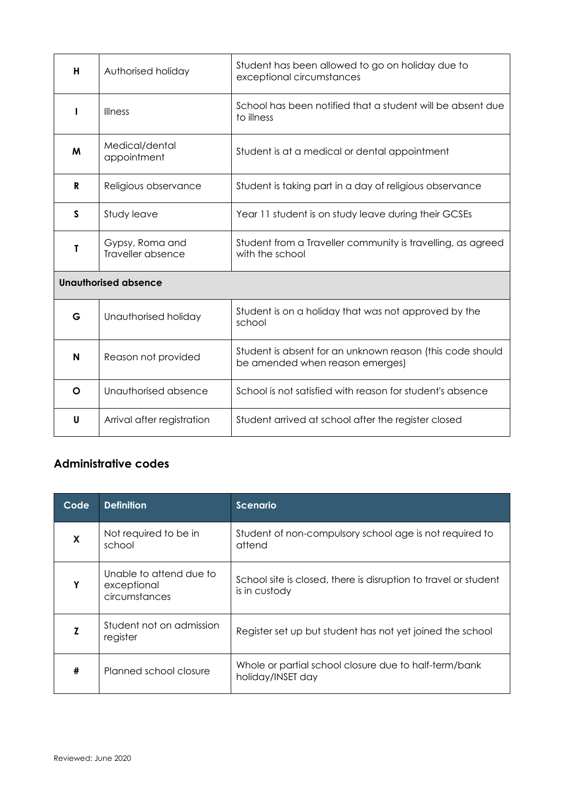| н                           | Authorised holiday                   | Student has been allowed to go on holiday due to<br>exceptional circumstances                |  |  |
|-----------------------------|--------------------------------------|----------------------------------------------------------------------------------------------|--|--|
| L                           | <b>Illness</b>                       | School has been notified that a student will be absent due<br>to illness                     |  |  |
| M                           | Medical/dental<br>appointment        | Student is at a medical or dental appointment                                                |  |  |
| R                           | Religious observance                 | Student is taking part in a day of religious observance                                      |  |  |
| $\mathsf{s}$                | Study leave                          | Year 11 student is on study leave during their GCSEs                                         |  |  |
| Τ                           | Gypsy, Roma and<br>Traveller absence | Student from a Traveller community is travelling, as agreed<br>with the school               |  |  |
| <b>Unauthorised absence</b> |                                      |                                                                                              |  |  |
| G                           | Unauthorised holiday                 | Student is on a holiday that was not approved by the<br>school                               |  |  |
| N                           | Reason not provided                  | Student is absent for an unknown reason (this code should<br>be amended when reason emerges) |  |  |
| O                           | Unauthorised absence                 | School is not satisfied with reason for student's absence                                    |  |  |
| U                           | Arrival after registration           | Student arrived at school after the register closed                                          |  |  |

## **Administrative codes**

| Code | <b>Definition</b>                                       | <b>Scenario</b>                                                                  |
|------|---------------------------------------------------------|----------------------------------------------------------------------------------|
| X    | Not required to be in<br>school                         | Student of non-compulsory school age is not required to<br>attend                |
| Y    | Unable to attend due to<br>exceptional<br>circumstances | School site is closed, there is disruption to travel or student<br>is in custody |
|      | Student not on admission<br>register                    | Register set up but student has not yet joined the school                        |
| #    | Planned school closure                                  | Whole or partial school closure due to half-term/bank<br>holiday/INSET day       |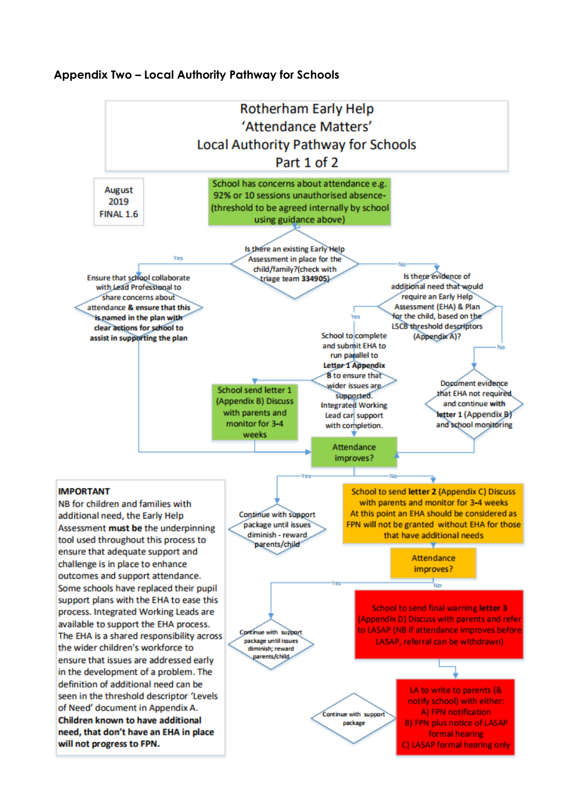#### **Appendix Two – Local Authority Pathway for Schools**

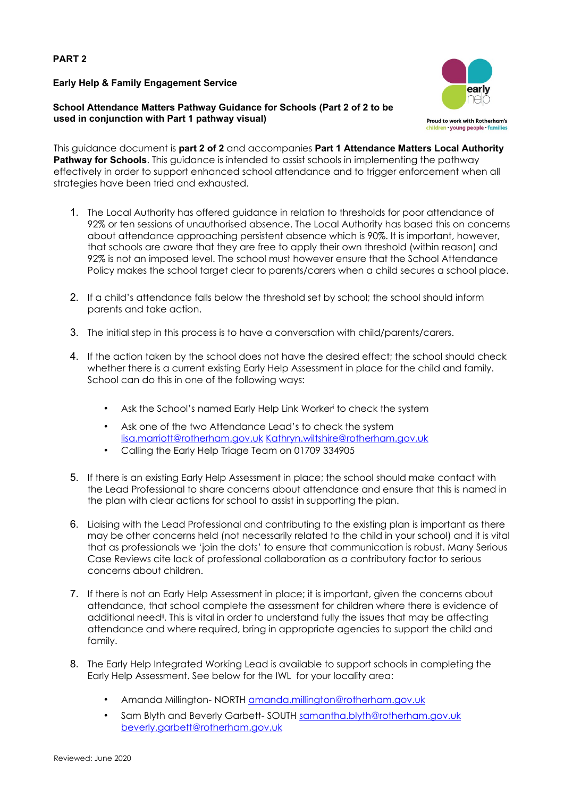#### **PART 2**

**Early Help & Family Engagement Service** 

**School Attendance Matters Pathway Guidance for Schools (Part 2 of 2 to be used in conjunction with Part 1 pathway visual)** 



This guidance document is **part 2 of 2** and accompanies **Part 1 Attendance Matters Local Authority Pathway for Schools**. This guidance is intended to assist schools in implementing the pathway effectively in order to support enhanced school attendance and to trigger enforcement when all strategies have been tried and exhausted.

- 1. The Local Authority has offered guidance in relation to thresholds for poor attendance of 92% or ten sessions of unauthorised absence. The Local Authority has based this on concerns about attendance approaching persistent absence which is 90%. It is important, however, that schools are aware that they are free to apply their own threshold (within reason) and 92% is not an imposed level. The school must however ensure that the School Attendance Policy makes the school target clear to parents/carers when a child secures a school place.
- 2. If a child's attendance falls below the threshold set by school; the school should inform parents and take action.
- 3. The initial step in this process is to have a conversation with child/parents/carers.
- 4. If the action taken by the school does not have the desired effect; the school should check whether there is a current existing Early Help Assessment in place for the child and family. School can do this in one of the following ways:
	- Ask the School's named Early Help Link Workeri to check the system
	- Ask one of the two Attendance Lead's to check the system lisa.marriott@rotherham.gov.uk Kathryn.wiltshire@rotherham.gov.uk
	- Calling the Early Help Triage Team on 01709 334905
- 5. If there is an existing Early Help Assessment in place; the school should make contact with the Lead Professional to share concerns about attendance and ensure that this is named in the plan with clear actions for school to assist in supporting the plan.
- 6. Liaising with the Lead Professional and contributing to the existing plan is important as there may be other concerns held (not necessarily related to the child in your school) and it is vital that as professionals we 'join the dots' to ensure that communication is robust. Many Serious Case Reviews cite lack of professional collaboration as a contributory factor to serious concerns about children.
- 7. If there is not an Early Help Assessment in place; it is important, given the concerns about attendance, that school complete the assessment for children where there is evidence of additional need<sup>ii</sup>. This is vital in order to understand fully the issues that may be affecting attendance and where required, bring in appropriate agencies to support the child and family.
- 8. The Early Help Integrated Working Lead is available to support schools in completing the Early Help Assessment. See below for the IWL for your locality area:
	- Amanda Millington- NORTH amanda.millington@rotherham.gov.uk
	- Sam Blyth and Beverly Garbett- SOUTH samantha.blyth@rotherham.gov.uk beverly.garbett@rotherham.gov.uk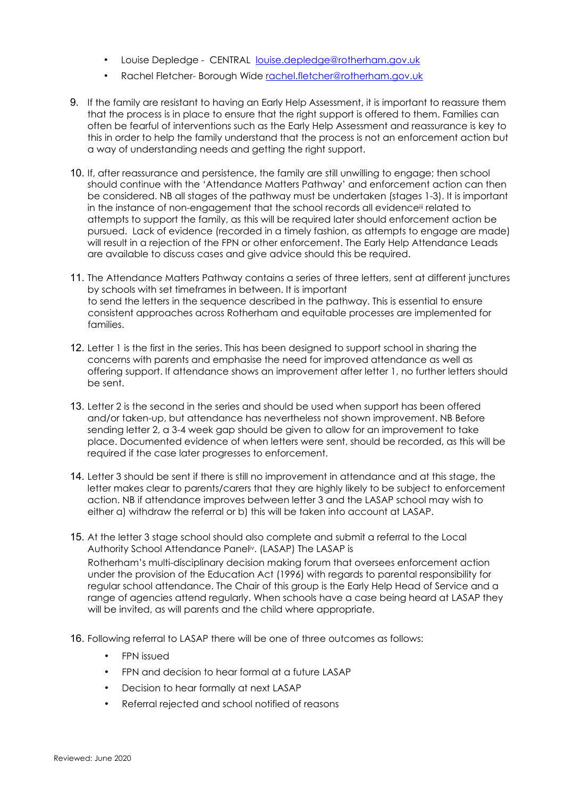- Louise Depledge CENTRAL louise.depledge@rotherham.gov.uk
- Rachel Fletcher- Borough Wide rachel.fletcher@rotherham.gov.uk
- 9. If the family are resistant to having an Early Help Assessment, it is important to reassure them that the process is in place to ensure that the right support is offered to them. Families can often be fearful of interventions such as the Early Help Assessment and reassurance is key to this in order to help the family understand that the process is not an enforcement action but a way of understanding needs and getting the right support.
- 10. If, after reassurance and persistence, the family are still unwilling to engage; then school should continue with the 'Attendance Matters Pathway' and enforcement action can then be considered. NB all stages of the pathway must be undertaken (stages 1-3). It is important in the instance of non-engagement that the school records all evidenceill related to attempts to support the family, as this will be required later should enforcement action be pursued. Lack of evidence (recorded in a timely fashion, as attempts to engage are made) will result in a rejection of the FPN or other enforcement. The Early Help Attendance Leads are available to discuss cases and give advice should this be required.
- 11. The Attendance Matters Pathway contains a series of three letters, sent at different junctures by schools with set timeframes in between. It is important to send the letters in the sequence described in the pathway. This is essential to ensure consistent approaches across Rotherham and equitable processes are implemented for families.
- 12. Letter 1 is the first in the series. This has been designed to support school in sharing the concerns with parents and emphasise the need for improved attendance as well as offering support. If attendance shows an improvement after letter 1, no further letters should be sent.
- 13. Letter 2 is the second in the series and should be used when support has been offered and/or taken-up, but attendance has nevertheless not shown improvement. NB Before sending letter 2, a 3-4 week gap should be given to allow for an improvement to take place. Documented evidence of when letters were sent, should be recorded, as this will be required if the case later progresses to enforcement.
- 14. Letter 3 should be sent if there is still no improvement in attendance and at this stage, the letter makes clear to parents/carers that they are highly likely to be subject to enforcement action. NB if attendance improves between letter 3 and the LASAP school may wish to either a) withdraw the referral or b) this will be taken into account at LASAP.
- 15. At the letter 3 stage school should also complete and submit a referral to the Local Authority School Attendance Paneliv. (LASAP) The LASAP is Rotherham's multi-disciplinary decision making forum that oversees enforcement action under the provision of the Education Act (1996) with regards to parental responsibility for regular school attendance. The Chair of this group is the Early Help Head of Service and a range of agencies attend regularly. When schools have a case being heard at LASAP they will be invited, as will parents and the child where appropriate.
- 16. Following referral to LASAP there will be one of three outcomes as follows:
	- FPN issued
	- FPN and decision to hear formal at a future LASAP
	- Decision to hear formally at next LASAP
	- Referral rejected and school notified of reasons